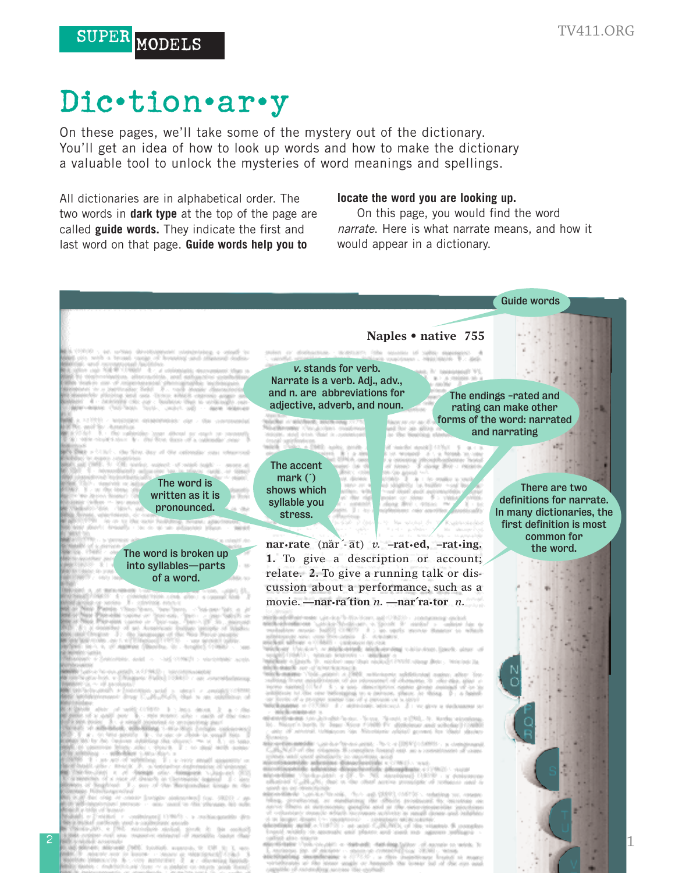1

# Dic•tion•ar•y

SUPER MODELS

On these pages, we'll take some of the mystery out of the dictionary. You'll get an idea of how to look up words and how to make the dictionary a valuable tool to unlock the mysteries of word meanings and spellings.

All dictionaries are in alphabetical order. The two words in **dark type** at the top of the page are called **guide words.** They indicate the first and last word on that page. **Guide words help you to**

#### **locate the word you are looking up.**

On this page, you would find the word *narrate*. Here is what narrate means, and how it would appear in a dictionary.



2